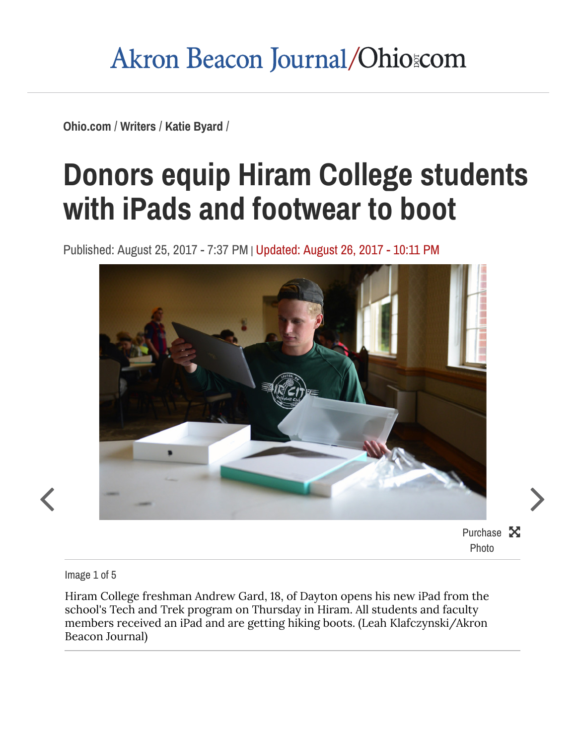### Akron Beacon Journal/Ohiozom

[Ohio.com](https://www.ohio.com/) / [Writers](https://www.ohio.com/writers) / Katie [Byard](https://www.ohio.com/writers/katie-byard) /

# Donors equip Hiram College students with iPads and [footwear](https://www.ohio.com/akron/writers/katie-byard/donors-equip-hiram-college-students-with-ipads-and-footwear-to-boot) to boot

Published: August 25, 2017 - 7:37 PM | Updated: August 26, 2017 - 10:11 PM



Purchase X Photo

Image 1 of 5

Hiram College freshman Andrew Gard, 18, of Dayton opens his new iPad from the school's Tech and Trek program on Thursday in Hiram. All students and faculty members received an iPad and are getting hiking boots. (Leah Klafczynski/Akron Beacon Journal)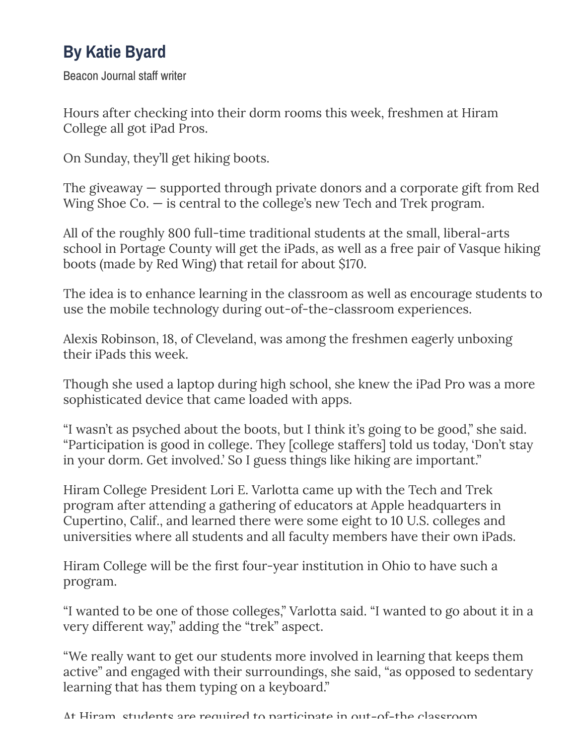### By Katie Byard

Beacon Journal staff writer

Hours after checking into their dorm rooms this week, freshmen at Hiram College all got iPad Pros.

On Sunday, they'll get hiking boots.

The giveaway — supported through private donors and a corporate gift from Red Wing Shoe Co. — is central to the college's new Tech and Trek program.

All of the roughly 800 full-time traditional students at the small, liberal-arts school in Portage County will get the iPads, as well as a free pair of Vasque hiking boots (made by Red Wing) that retail for about \$170.

The idea is to enhance learning in the classroom as well as encourage students to use the mobile technology during out-of-the-classroom experiences.

Alexis Robinson, 18, of Cleveland, was among the freshmen eagerly unboxing their iPads this week.

Though she used a laptop during high school, she knew the iPad Pro was a more sophisticated device that came loaded with apps.

"I wasn't as psyched about the boots, but I think it's going to be good," she said. "Participation is good in college. They [college staffers] told us today, 'Don't stay in your dorm. Get involved.' So I guess things like hiking are important."

Hiram College President Lori E. Varlotta came up with the Tech and Trek program after attending a gathering of educators at Apple headquarters in Cupertino, Calif., and learned there were some eight to 10 U.S. colleges and universities where all students and all faculty members have their own iPads.

Hiram College will be the first four-year institution in Ohio to have such a program.

"I wanted to be one of those colleges," Varlotta said. "I wanted to go about it in a very different way," adding the "trek" aspect.

"We really want to get our students more involved in learning that keeps them active" and engaged with their surroundings, she said, "as opposed to sedentary learning that has them typing on a keyboard."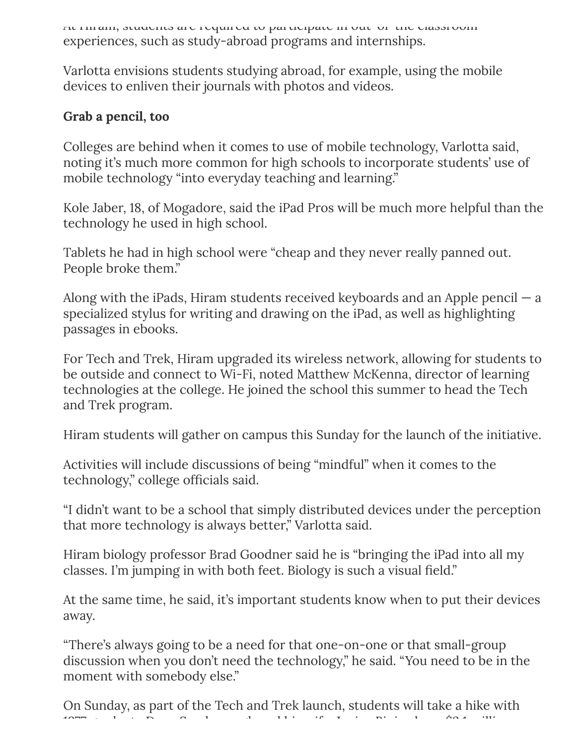At Hiram, students are required to participate in out-of-the classroom experiences, such as study-abroad programs and internships.

Varlotta envisions students studying abroad, for example, using the mobile devices to enliven their journals with photos and videos.

#### Grab a pencil, too

Colleges are behind when it comes to use of mobile technology, Varlotta said, noting it's much more common for high schools to incorporate students' use of mobile technology "into everyday teaching and learning."

Kole Jaber, 18, of Mogadore, said the iPad Pros will be much more helpful than the technology he used in high school.

Tablets he had in high school were "cheap and they never really panned out. People broke them."

Along with the iPads, Hiram students received keyboards and an Apple pencil  $-$  a specialized stylus for writing and drawing on the iPad, as well as highlighting passages in ebooks.

For Tech and Trek, Hiram upgraded its wireless network, allowing for students to be outside and connect to Wi-Fi, noted Matthew McKenna, director of learning technologies at the college. He joined the school this summer to head the Tech and Trek program.

Hiram students will gather on campus this Sunday for the launch of the initiative.

Activities will include discussions of being "mindful" when it comes to the technology," college officials said.

"I didn't want to be a school that simply distributed devices under the perception that more technology is always better," Varlotta said.

Hiram biology professor Brad Goodner said he is "bringing the iPad into all my classes. I'm jumping in with both feet. Biology is such a visual field."

At the same time, he said, it's important students know when to put their devices away.

"There's always going to be a need for that one-on-one or that small-group discussion when you don't need the technology," he said. "You need to be in the moment with somebody else."

On Sunday, as part of the Tech and Trek launch, students will take a hike with 1977 graduate Dean Scarborough and his wife, Janice Bini, whose \$2.1 million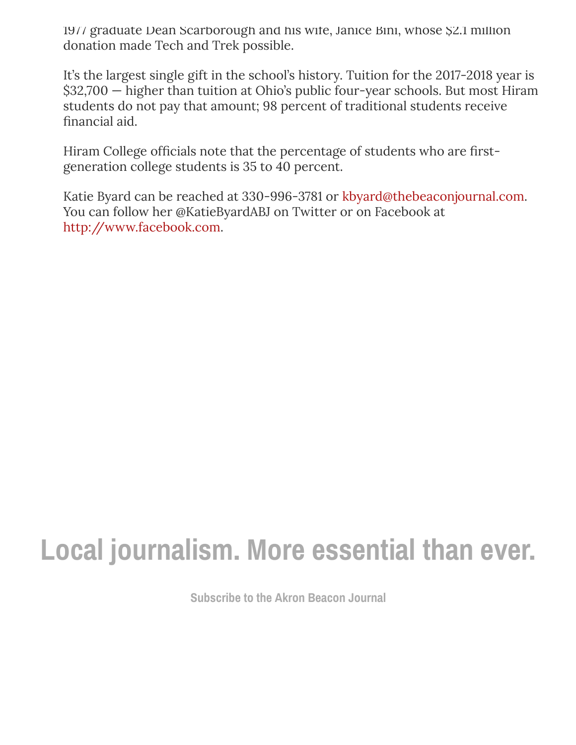1977 graduate Dean Scarborough and his wife, Janice Bini, whose \$2.1 million donation made Tech and Trek possible.

It's the largest single gift in the school's history. Tuition for the 2017-2018 year is \$32,700 — higher than tuition at Ohio's public four-year schools. But most Hiram students do not pay that amount; 98 percent of traditional students receive financial aid.

Hiram College officials note that the percentage of students who are firstgeneration college students is 35 to 40 percent.

Katie Byard can be reached at 330-996-3781 or [kbyard@thebeaconjournal.com.](mailto:kbyard@thebeaconjournal.com) You can follow her @KatieByardABJ on Twitter or on Facebook at [http://www.facebook.com](http://www.facebook.com/).

## Local journalism. More essential than ever.

[Subscribe](https://www.ohio.com/akron/subscriber-options) to the Akron Beacon Journal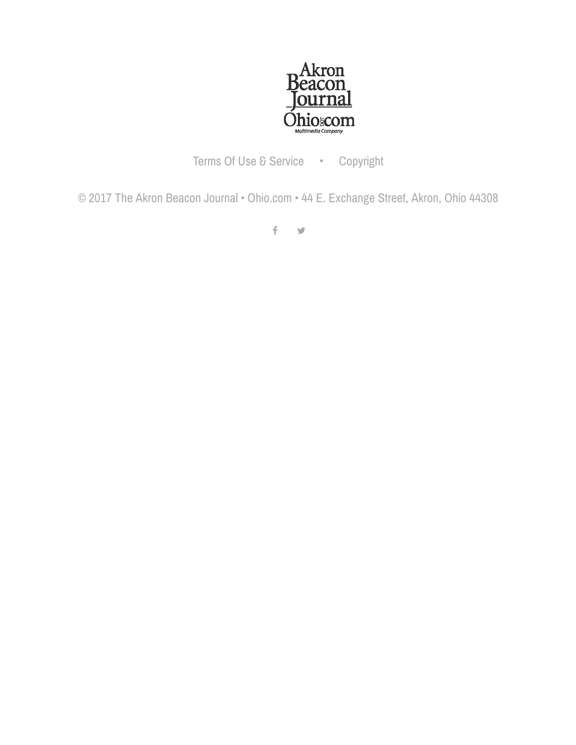

Terms Of Use & [Service](https://www.ohio.com/akron/about/terms-of-service) • [Copyright](https://www.ohio.com/akron/about/copyright)

© 2017 The Akron Beacon Journal • [Ohio.com](https://www.ohio.com/) • 44 E. Exchange Street, Akron, Ohio 44308

 $f - y$